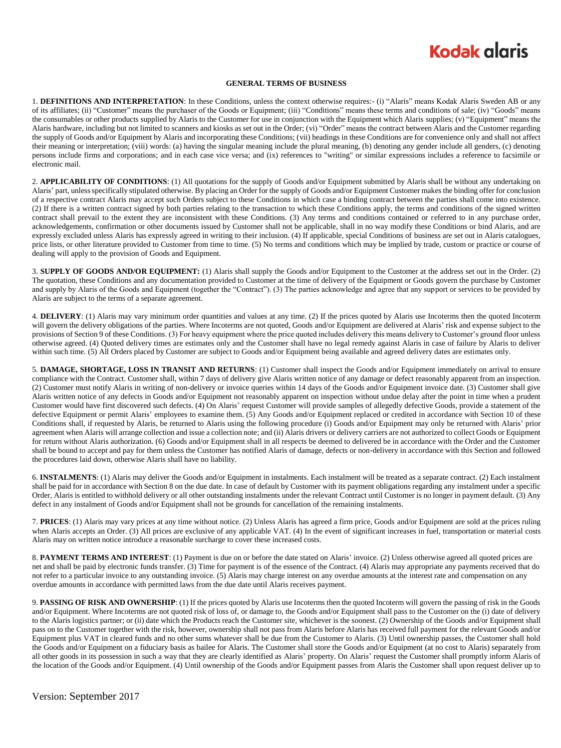## **Kodak alaris**

#### **GENERAL TERMS OF BUSINESS**

1. **DEFINITIONS AND INTERPRETATION**: In these Conditions, unless the context otherwise requires:- (i) "Alaris" means Kodak Alaris Sweden AB or any of its affiliates; (ii) "Customer" means the purchaser of the Goods or Equipment; (iii) "Conditions" means these terms and conditions of sale; (iv) "Goods" means the consumables or other products supplied by Alaris to the Customer for use in conjunction with the Equipment which Alaris supplies; (v) "Equipment" means the Alaris hardware, including but not limited to scanners and kiosks as set out in the Order; (vi) "Order" means the contract between Alaris and the Customer regarding the supply of Goods and/or Equipment by Alaris and incorporating these Conditions; (vii) headings in these Conditions are for convenience only and shall not affect their meaning or interpretation; (viii) words: (a) having the singular meaning include the plural meaning, (b) denoting any gender include all genders, (c) denoting persons include firms and corporations; and in each case vice versa; and (ix) references to "writing" or similar expressions includes a reference to facsimile or electronic mail.

2. **APPLICABILITY OF CONDITIONS**: (1) All quotations for the supply of Goods and/or Equipment submitted by Alaris shall be without any undertaking on Alaris' part, unless specifically stipulated otherwise. By placing an Order for the supply of Goods and/or Equipment Customer makes the binding offer for conclusion of a respective contract Alaris may accept such Orders subject to these Conditions in which case a binding contract between the parties shall come into existence. (2) If there is a written contract signed by both parties relating to the transaction to which these Conditions apply, the terms and conditions of the signed written contract shall prevail to the extent they are inconsistent with these Conditions. (3) Any terms and conditions contained or referred to in any purchase order, acknowledgements, confirmation or other documents issued by Customer shall not be applicable, shall in no way modify these Conditions or bind Alaris, and are expressly excluded unless Alaris has expressly agreed in writing to their inclusion. (4) If applicable, special Conditions of business are set out in Alaris catalogues, price lists, or other literature provided to Customer from time to time. (5) No terms and conditions which may be implied by trade, custom or practice or course of dealing will apply to the provision of Goods and Equipment.

3. **SUPPLY OF GOODS AND/OR EQUIPMENT:** (1) Alaris shall supply the Goods and/or Equipment to the Customer at the address set out in the Order. (2) The quotation, these Conditions and any documentation provided to Customer at the time of delivery of the Equipment or Goods govern the purchase by Customer and supply by Alaris of the Goods and Equipment (together the "Contract"). (3) The parties acknowledge and agree that any support or services to be provided by Alaris are subject to the terms of a separate agreement.

4. **DELIVERY**: (1) Alaris may vary minimum order quantities and values at any time. (2) If the prices quoted by Alaris use Incoterms then the quoted Incoterm will govern the delivery obligations of the parties. Where Incoterms are not quoted, Goods and/or Equipment are delivered at Alaris' risk and expense subject to the provisions of Section 9 of these Conditions. (3) For heavy equipment where the price quoted includes delivery this means delivery to Customer's ground floor unless otherwise agreed. (4) Quoted delivery times are estimates only and the Customer shall have no legal remedy against Alaris in case of failure by Alaris to deliver within such time. (5) All Orders placed by Customer are subject to Goods and/or Equipment being available and agreed delivery dates are estimates only.

5. **DAMAGE, SHORTAGE, LOSS IN TRANSIT AND RETURNS**: (1) Customer shall inspect the Goods and/or Equipment immediately on arrival to ensure compliance with the Contract. Customer shall, within 7 days of delivery give Alaris written notice of any damage or defect reasonably apparent from an inspection. (2) Customer must notify Alaris in writing of non-delivery or invoice queries within 14 days of the Goods and/or Equipment invoice date. (3) Customer shall give Alaris written notice of any defects in Goods and/or Equipment not reasonably apparent on inspection without undue delay after the point in time when a prudent Customer would have first discovered such defects. (4) On Alaris' request Customer will provide samples of allegedly defective Goods, provide a statement of the defective Equipment or permit Alaris' employees to examine them. (5) Any Goods and/or Equipment replaced or credited in accordance with Section 10 of these Conditions shall, if requested by Alaris, be returned to Alaris using the following procedure (i) Goods and/or Equipment may only be returned with Alaris' prior agreement when Alaris will arrange collection and issue a collection note; and (ii) Alaris drivers or delivery carriers are not authorized to collect Goods or Equipment for return without Alaris authorization. (6) Goods and/or Equipment shall in all respects be deemed to delivered be in accordance with the Order and the Customer shall be bound to accept and pay for them unless the Customer has notified Alaris of damage, defects or non-delivery in accordance with this Section and followed the procedures laid down, otherwise Alaris shall have no liability.

6. **INSTALMENTS**: (1) Alaris may deliver the Goods and/or Equipment in instalments. Each instalment will be treated as a separate contract. (2) Each instalment shall be paid for in accordance with Section 8 on the due date. In case of default by Customer with its payment obligations regarding any instalment under a specific Order, Alaris is entitled to withhold delivery or all other outstanding instalments under the relevant Contract until Customer is no longer in payment default. (3) Any defect in any instalment of Goods and/or Equipment shall not be grounds for cancellation of the remaining instalments.

7. **PRICES**: (1) Alaris may vary prices at any time without notice. (2) Unless Alaris has agreed a firm price, Goods and/or Equipment are sold at the prices ruling when Alaris accepts an Order. (3) All prices are exclusive of any applicable VAT. (4) In the event of significant increases in fuel, transportation or material costs Alaris may on written notice introduce a reasonable surcharge to cover these increased costs.

8. PAYMENT TERMS AND INTEREST: (1) Payment is due on or before the date stated on Alaris' invoice. (2) Unless otherwise agreed all quoted prices are net and shall be paid by electronic funds transfer. (3) Time for payment is of the essence of the Contract. (4) Alaris may appropriate any payments received that do not refer to a particular invoice to any outstanding invoice. (5) Alaris may charge interest on any overdue amounts at the interest rate and compensation on any overdue amounts in accordance with permitted laws from the due date until Alaris receives payment.

9. **PASSING OF RISK AND OWNERSHIP**: (1) If the prices quoted by Alaris use Incoterms then the quoted Incoterm will govern the passing of risk in the Goods and/or Equipment. Where Incoterms are not quoted risk of loss of, or damage to, the Goods and/or Equipment shall pass to the Customer on the (i) date of delivery to the Alaris logistics partner; or (ii) date which the Products reach the Customer site, whichever is the soonest. (2) Ownership of the Goods and/or Equipment shall pass on to the Customer together with the risk, however, ownership shall not pass from Alaris before Alaris has received full payment for the relevant Goods and/or Equipment plus VAT in cleared funds and no other sums whatever shall be due from the Customer to Alaris. (3) Until ownership passes, the Customer shall hold the Goods and/or Equipment on a fiduciary basis as bailee for Alaris. The Customer shall store the Goods and/or Equipment (at no cost to Alaris) separately from all other goods in its possession in such a way that they are clearly identified as Alaris' property. On Alaris' request the Customer shall promptly inform Alaris of the location of the Goods and/or Equipment. (4) Until ownership of the Goods and/or Equipment passes from Alaris the Customer shall upon request deliver up to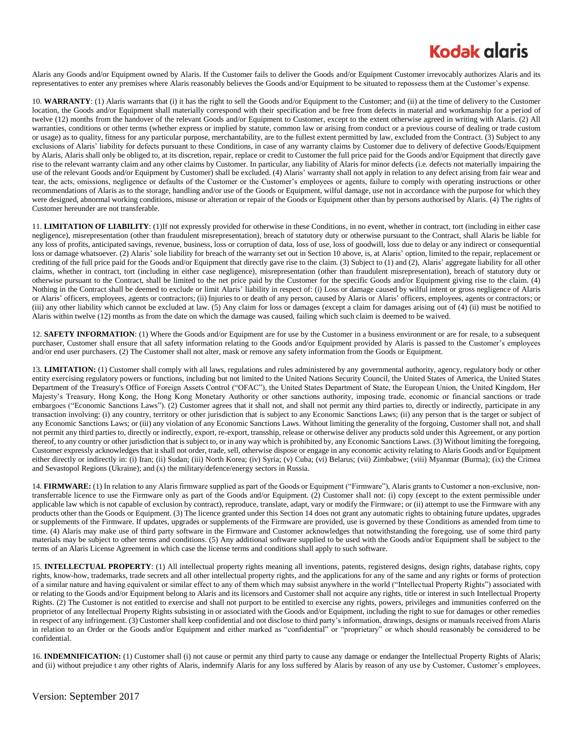### **Kodak glaris**

Alaris any Goods and/or Equipment owned by Alaris. If the Customer fails to deliver the Goods and/or Equipment Customer irrevocably authorizes Alaris and its representatives to enter any premises where Alaris reasonably believes the Goods and/or Equipment to be situated to repossess them at the Customer's expense.

10. **WARRANTY**: (1) Alaris warrants that (i) it has the right to sell the Goods and/or Equipment to the Customer; and (ii) at the time of delivery to the Customer location, the Goods and/or Equipment shall materially correspond with their specification and be free from defects in material and workmanship for a period of twelve (12) months from the handover of the relevant Goods and/or Equipment to Customer, except to the extent otherwise agreed in writing with Alaris. (2) All warranties, conditions or other terms (whether express or implied by statute, common law or arising from conduct or a previous course of dealing or trade custom or usage) as to quality, fitness for any particular purpose, merchantability, are to the fullest extent permitted by law, excluded from the Contract. (3) Subject to any exclusions of Alaris' liability for defects pursuant to these Conditions, in case of any warranty claims by Customer due to delivery of defective Goods/Equipment by Alaris, Alaris shall only be obliged to, at its discretion, repair, replace or credit to Customer the full price paid for the Goods and/or Equipment that directly gave rise to the relevant warranty claim and any other claims by Customer. In particular, any liability of Alaris for minor defects (i.e. defects not materially impairing the use of the relevant Goods and/or Equipment by Customer) shall be excluded. (4) Alaris' warranty shall not apply in relation to any defect arising from fair wear and tear, the acts, omissions, negligence or defaults of the Customer or the Customer's employees or agents, failure to comply with operating instructions or other recommendations of Alaris as to the storage, handling and/or use of the Goods or Equipment, wilful damage, use not in accordance with the purpose for which they were designed, abnormal working conditions, misuse or alteration or repair of the Goods or Equipment other than by persons authorised by Alaris. (4) The rights of Customer hereunder are not transferable.

11. **LIMITATION OF LIABILITY**: (1)If not expressly provided for otherwise in these Conditions, in no event, whether in contract, tort (including in either case negligence), misrepresentation (other than fraudulent misrepresentation), breach of statutory duty or otherwise pursuant to the Contract, shall Alaris be liable for any loss of profits, anticipated savings, revenue, business, loss or corruption of data, loss of use, loss of goodwill, loss due to delay or any indirect or consequential loss or damage whatsoever. (2) Alaris' sole liability for breach of the warranty set out in Section 10 above, is, at Alaris' option, limited to the repair, replacement or crediting of the full price paid for the Goods and/or Equipment that directly gave rise to the claim. (3) Subject to (1) and (2), Alaris' aggregate liability for all other claims, whether in contract, tort (including in either case negligence), misrepresentation (other than fraudulent misrepresentation), breach of statutory duty or otherwise pursuant to the Contract, shall be limited to the net price paid by the Customer for the specific Goods and/or Equipment giving rise to the claim. (4) Nothing in the Contract shall be deemed to exclude or limit Alaris' liability in respect of: (i) Loss or damage caused by wilful intent or gross negligence of Alaris or Alaris' officers, employees, agents or contractors; (ii) Injuries to or death of any person, caused by Alaris or Alaris' officers, employees, agents or contractors; or (iii) any other liability which cannot be excluded at law. (5) Any claim for loss or damages (except a claim for damages arising out of (4) (ii) must be notified to Alaris within twelve (12) months as from the date on which the damage was caused, failing which such claim is deemed to be waived.

12. **SAFETY INFORMATION**: (1) Where the Goods and/or Equipment are for use by the Customer in a business environment or are for resale, to a subsequent purchaser, Customer shall ensure that all safety information relating to the Goods and/or Equipment provided by Alaris is passed to the Customer's employees and/or end user purchasers. (2) The Customer shall not alter, mask or remove any safety information from the Goods or Equipment.

13. **LIMITATION:** (1) Customer shall comply with all laws, regulations and rules administered by any governmental authority, agency, regulatory body or other entity exercising regulatory powers or functions, including but not limited to the United Nations Security Council, the United States of America, the United States Department of the Treasury's Office of Foreign Assets Control ("OFAC"), the United States Department of State, the European Union, the United Kingdom, Her Majesty's Treasury, Hong Kong, the Hong Kong Monetary Authority or other sanctions authority, imposing trade, economic or financial sanctions or trade embargoes ("Economic Sanctions Laws"). (2) Customer agrees that it shall not, and shall not permit any third parties to, directly or indirectly, participate in any transaction involving: (i) any country, territory or other jurisdiction that is subject to any Economic Sanctions Laws; (ii) any person that is the target or subject of any Economic Sanctions Laws; or (iii) any violation of any Economic Sanctions Laws. Without limiting the generality of the forgoing, Customer shall not, and shall not permit any third parties to, directly or indirectly, export, re-export, transship, release or otherwise deliver any products sold under this Agreement, or any portion thereof, to any country or other jurisdiction that is subject to, or in any way which is prohibited by, any Economic Sanctions Laws. (3) Without limiting the foregoing, Customer expressly acknowledges that it shall not order, trade, sell, otherwise dispose or engage in any economic activity relating to Alaris Goods and/or Equipment either directly or indirectly in: (i) Iran; (ii) Sudan; (iii) North Korea; (iv) Syria; (v) Cuba; (vi) Belarus; (vii) Zimbabwe; (viii) Myanmar (Burma); (ix) the Crimea and Sevastopol Regions (Ukraine); and (x) the military/defence/energy sectors in Russia.

14. **FIRMWARE:** (1) In relation to any Alaris firmware supplied as part of the Goods or Equipment ("Firmware"), Alaris grants to Customer a non-exclusive, nontransferrable licence to use the Firmware only as part of the Goods and/or Equipment. (2) Customer shall not: (i) copy (except to the extent permissible under applicable law which is not capable of exclusion by contract), reproduce, translate, adapt, vary or modify the Firmware; or (ii) attempt to use the Firmware with any products other than the Goods or Equipment. (3) The licence granted under this Section 14 does not grant any automatic rights to obtaining future updates, upgrades or supplements of the Firmware. If updates, upgrades or supplements of the Firmware are provided, use is governed by these Conditions as amended from time to time. (4) Alaris may make use of third party software in the Firmware and Customer acknowledges that notwithstanding the foregoing, use of some third party materials may be subject to other terms and conditions. (5) Any additional software supplied to be used with the Goods and/or Equipment shall be subject to the terms of an Alaris License Agreement in which case the license terms and conditions shall apply to such software.

15. **INTELLECTUAL PROPERTY**: (1) All intellectual property rights meaning all inventions, patents, registered designs, design rights, database rights, copy rights, know-how, trademarks, trade secrets and all other intellectual property rights, and the applications for any of the same and any rights or forms of protection of a similar nature and having equivalent or similar effect to any of them which may subsist anywhere in the world ("Intellectual Property Rights") associated with or relating to the Goods and/or Equipment belong to Alaris and its licensors and Customer shall not acquire any rights, title or interest in such Intellectual Property Rights. (2) The Customer is not entitled to exercise and shall not purport to be entitled to exercise any rights, powers, privileges and immunities conferred on the proprietor of any Intellectual Property Rights subsisting in or associated with the Goods and/or Equipment, including the right to sue for damages or other remedies in respect of any infringement. (3) Customer shall keep confidential and not disclose to third party's information, drawings, designs or manuals received from Alaris in relation to an Order or the Goods and/or Equipment and either marked as "confidential" or "proprietary" or which should reasonably be considered to be confidential.

16. **INDEMNIFICATION:** (1) Customer shall (i) not cause or permit any third party to cause any damage or endanger the Intellectual Property Rights of Alaris; and (ii) without prejudice t any other rights of Alaris, indemnify Alaris for any loss suffered by Alaris by reason of any use by Customer, Customer's employees,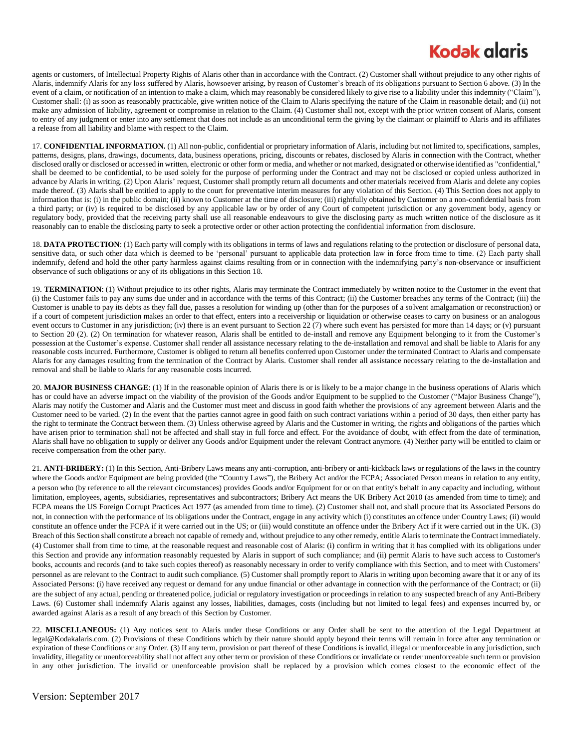## **Kodak glaris**

agents or customers, of Intellectual Property Rights of Alaris other than in accordance with the Contract. (2) Customer shall without prejudice to any other rights of Alaris, indemnify Alaris for any loss suffered by Alaris, howsoever arising, by reason of Customer's breach of its obligations pursuant to Section 6 above. (3) In the event of a claim, or notification of an intention to make a claim, which may reasonably be considered likely to give rise to a liability under this indemnity ("Claim"), Customer shall: (i) as soon as reasonably practicable, give written notice of the Claim to Alaris specifying the nature of the Claim in reasonable detail; and (ii) not make any admission of liability, agreement or compromise in relation to the Claim. (4) Customer shall not, except with the prior written consent of Alaris, consent to entry of any judgment or enter into any settlement that does not include as an unconditional term the giving by the claimant or plaintiff to Alaris and its affiliates a release from all liability and blame with respect to the Claim.

17. **CONFIDENTIAL INFORMATION.** (1) All non-public, confidential or proprietary information of Alaris, including but not limited to, specifications, samples, patterns, designs, plans, drawings, documents, data, business operations, pricing, discounts or rebates, disclosed by Alaris in connection with the Contract, whether disclosed orally or disclosed or accessed in written, electronic or other form or media, and whether or not marked, designated or otherwise identified as "confidential," shall be deemed to be confidential, to be used solely for the purpose of performing under the Contract and may not be disclosed or copied unless authorized in advance by Alaris in writing. (2) Upon Alaris' request, Customer shall promptly return all documents and other materials received from Alaris and delete any copies made thereof. (3) Alaris shall be entitled to apply to the court for preventative interim measures for any violation of this Section. (4) This Section does not apply to information that is: (i) in the public domain; (ii) known to Customer at the time of disclosure; (iii) rightfully obtained by Customer on a non-confidential basis from a third party; or (iv) is required to be disclosed by any applicable law or by order of any Court of competent jurisdiction or any government body, agency or regulatory body, provided that the receiving party shall use all reasonable endeavours to give the disclosing party as much written notice of the disclosure as it reasonably can to enable the disclosing party to seek a protective order or other action protecting the confidential information from disclosure.

18. **DATA PROTECTION**: (1) Each party will comply with its obligations in terms of laws and regulations relating to the protection or disclosure of personal data, sensitive data, or such other data which is deemed to be 'personal' pursuant to applicable data protection law in force from time to time. (2) Each party shall indemnify, defend and hold the other party harmless against claims resulting from or in connection with the indemnifying party's non-observance or insufficient observance of such obligations or any of its obligations in this Section 18.

19. **TERMINATION**: (1) Without prejudice to its other rights, Alaris may terminate the Contract immediately by written notice to the Customer in the event that (i) the Customer fails to pay any sums due under and in accordance with the terms of this Contract; (ii) the Customer breaches any terms of the Contract; (iii) the Customer is unable to pay its debts as they fall due, passes a resolution for winding up (other than for the purposes of a solvent amalgamation or reconstruction) or if a court of competent jurisdiction makes an order to that effect, enters into a receivership or liquidation or otherwise ceases to carry on business or an analogous event occurs to Customer in any jurisdiction; (iv) there is an event pursuant to Section 22 (7) where such event has persisted for more than 14 days; or (v) pursuant to Section 20 (2). (2) On termination for whatever reason, Alaris shall be entitled to de-install and remove any Equipment belonging to it from the Customer's possession at the Customer's expense. Customer shall render all assistance necessary relating to the de-installation and removal and shall be liable to Alaris for any reasonable costs incurred. Furthermore, Customer is obliged to return all benefits conferred upon Customer under the terminated Contract to Alaris and compensate Alaris for any damages resulting from the termination of the Contract by Alaris. Customer shall render all assistance necessary relating to the de-installation and removal and shall be liable to Alaris for any reasonable costs incurred.

20. MAJOR BUSINESS CHANGE: (1) If in the reasonable opinion of Alaris there is or is likely to be a major change in the business operations of Alaris which has or could have an adverse impact on the viability of the provision of the Goods and/or Equipment to be supplied to the Customer ("Major Business Change"), Alaris may notify the Customer and Alaris and the Customer must meet and discuss in good faith whether the provisions of any agreement between Alaris and the Customer need to be varied. (2) In the event that the parties cannot agree in good faith on such contract variations within a period of 30 days, then either party has the right to terminate the Contract between them. (3) Unless otherwise agreed by Alaris and the Customer in writing, the rights and obligations of the parties which have arisen prior to termination shall not be affected and shall stay in full force and effect. For the avoidance of doubt, with effect from the date of termination, Alaris shall have no obligation to supply or deliver any Goods and/or Equipment under the relevant Contract anymore. (4) Neither party will be entitled to claim or receive compensation from the other party.

21. **ANTI-BRIBERY:** (1) In this Section, Anti-Bribery Laws means any anti-corruption, anti-bribery or anti-kickback laws or regulations of the laws in the country where the Goods and/or Equipment are being provided (the "Country Laws"), the Bribery Act and/or the FCPA; Associated Person means in relation to any entity, a person who (by reference to all the relevant circumstances) provides Goods and/or Equipment for or on that entity's behalf in any capacity and including, without limitation, employees, agents, subsidiaries, representatives and subcontractors; Bribery Act means the UK Bribery Act 2010 (as amended from time to time); and FCPA means the US Foreign Corrupt Practices Act 1977 (as amended from time to time). (2) Customer shall not, and shall procure that its Associated Persons do not, in connection with the performance of its obligations under the Contract, engage in any activity which (i) constitutes an offence under Country Laws; (ii) would constitute an offence under the FCPA if it were carried out in the US; or (iii) would constitute an offence under the Bribery Act if it were carried out in the UK. (3) Breach of this Section shall constitute a breach not capable of remedy and, without prejudice to any other remedy, entitle Alaris to terminate the Contract immediately. (4) Customer shall from time to time, at the reasonable request and reasonable cost of Alaris: (i) confirm in writing that it has complied with its obligations under this Section and provide any information reasonably requested by Alaris in support of such compliance; and (ii) permit Alaris to have such access to Customer's books, accounts and records (and to take such copies thereof) as reasonably necessary in order to verify compliance with this Section, and to meet with Customers' personnel as are relevant to the Contract to audit such compliance. (5) Customer shall promptly report to Alaris in writing upon becoming aware that it or any of its Associated Persons: (i) have received any request or demand for any undue financial or other advantage in connection with the performance of the Contract; or (ii) are the subject of any actual, pending or threatened police, judicial or regulatory investigation or proceedings in relation to any suspected breach of any Anti-Bribery Laws. (6) Customer shall indemnify Alaris against any losses, liabilities, damages, costs (including but not limited to legal fees) and expenses incurred by, or awarded against Alaris as a result of any breach of this Section by Customer.

22. **MISCELLANEOUS:** (1) Any notices sent to Alaris under these Conditions or any Order shall be sent to the attention of the Legal Department at legal@Kodakalaris.com. (2) Provisions of these Conditions which by their nature should apply beyond their terms will remain in force after any termination or expiration of these Conditions or any Order. (3) If any term, provision or part thereof of these Conditions is invalid, illegal or unenforceable in any jurisdiction, such invalidity, illegality or unenforceability shall not affect any other term or provision of these Conditions or invalidate or render unenforceable such term or provision in any other jurisdiction. The invalid or unenforceable provision shall be replaced by a provision which comes closest to the economic effect of the